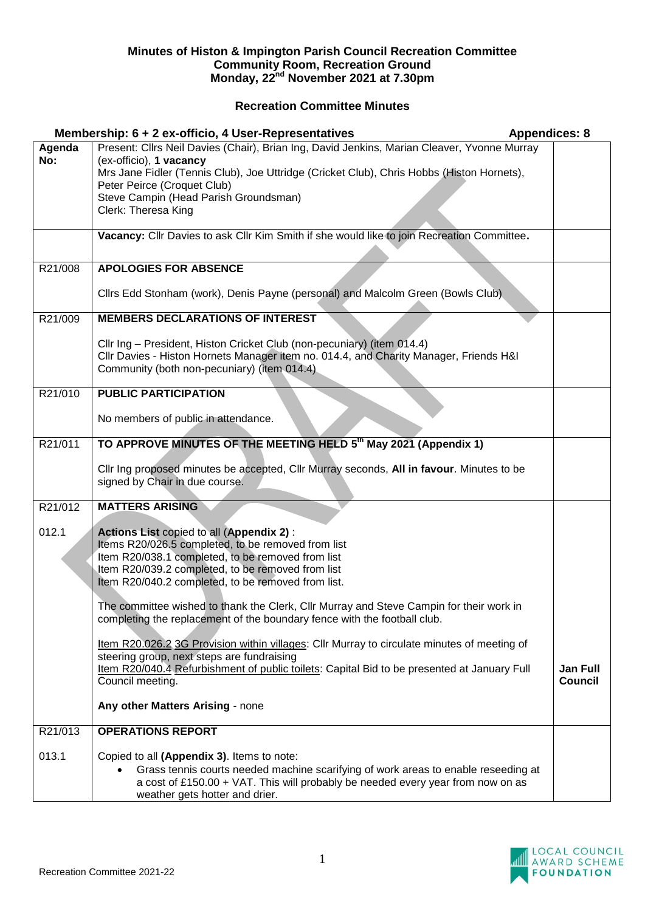## **Minutes of Histon & Impington Parish Council Recreation Committee Community Room, Recreation Ground Monday, 22nd November 2021 at 7.30pm**

## **Recreation Committee Minutes**

|               | <b>Appendices: 8</b><br>Membership: 6 + 2 ex-officio, 4 User-Representatives                                                                                                                                                                                                                                                                                                                                                          |                                   |
|---------------|---------------------------------------------------------------------------------------------------------------------------------------------------------------------------------------------------------------------------------------------------------------------------------------------------------------------------------------------------------------------------------------------------------------------------------------|-----------------------------------|
| Agenda<br>No: | Present: Cllrs Neil Davies (Chair), Brian Ing, David Jenkins, Marian Cleaver, Yvonne Murray<br>(ex-officio), 1 vacancy<br>Mrs Jane Fidler (Tennis Club), Joe Uttridge (Cricket Club), Chris Hobbs (Histon Hornets),<br>Peter Peirce (Croquet Club)<br>Steve Campin (Head Parish Groundsman)<br>Clerk: Theresa King                                                                                                                    |                                   |
|               | Vacancy: Cllr Davies to ask Cllr Kim Smith if she would like to join Recreation Committee.                                                                                                                                                                                                                                                                                                                                            |                                   |
| R21/008       | <b>APOLOGIES FOR ABSENCE</b><br>Cllrs Edd Stonham (work), Denis Payne (personal) and Malcolm Green (Bowls Club)                                                                                                                                                                                                                                                                                                                       |                                   |
| R21/009       | <b>MEMBERS DECLARATIONS OF INTEREST</b>                                                                                                                                                                                                                                                                                                                                                                                               |                                   |
|               | Cllr Ing - President, Histon Cricket Club (non-pecuniary) (item 014.4)<br>Cllr Davies - Histon Hornets Manager item no. 014.4, and Charity Manager, Friends H&I<br>Community (both non-pecuniary) (item 014.4)                                                                                                                                                                                                                        |                                   |
| R21/010       | <b>PUBLIC PARTICIPATION</b>                                                                                                                                                                                                                                                                                                                                                                                                           |                                   |
|               | No members of public in attendance.                                                                                                                                                                                                                                                                                                                                                                                                   |                                   |
| R21/011       | TO APPROVE MINUTES OF THE MEETING HELD 5th May 2021 (Appendix 1)<br>Cllr Ing proposed minutes be accepted, Cllr Murray seconds, All in favour. Minutes to be<br>signed by Chair in due course.                                                                                                                                                                                                                                        |                                   |
| R21/012       | <b>MATTERS ARISING</b>                                                                                                                                                                                                                                                                                                                                                                                                                |                                   |
| 012.1         | Actions List copied to all (Appendix 2):<br>Items R20/026.5 completed, to be removed from list<br>Item R20/038.1 completed, to be removed from list<br>Item R20/039.2 completed, to be removed from list<br>Item R20/040.2 completed, to be removed from list.<br>The committee wished to thank the Clerk, Cllr Murray and Steve Campin for their work in<br>completing the replacement of the boundary fence with the football club. |                                   |
|               | Item R20.026.2 3G Provision within villages: Cllr Murray to circulate minutes of meeting of<br>steering group, next steps are fundraising<br>Item R20/040.4 Refurbishment of public toilets: Capital Bid to be presented at January Full<br>Council meeting.                                                                                                                                                                          | <b>Jan Full</b><br><b>Council</b> |
|               | Any other Matters Arising - none                                                                                                                                                                                                                                                                                                                                                                                                      |                                   |
| R21/013       | <b>OPERATIONS REPORT</b>                                                                                                                                                                                                                                                                                                                                                                                                              |                                   |
| 013.1         | Copied to all (Appendix 3). Items to note:<br>Grass tennis courts needed machine scarifying of work areas to enable reseeding at<br>a cost of £150.00 + VAT. This will probably be needed every year from now on as<br>weather gets hotter and drier.                                                                                                                                                                                 |                                   |

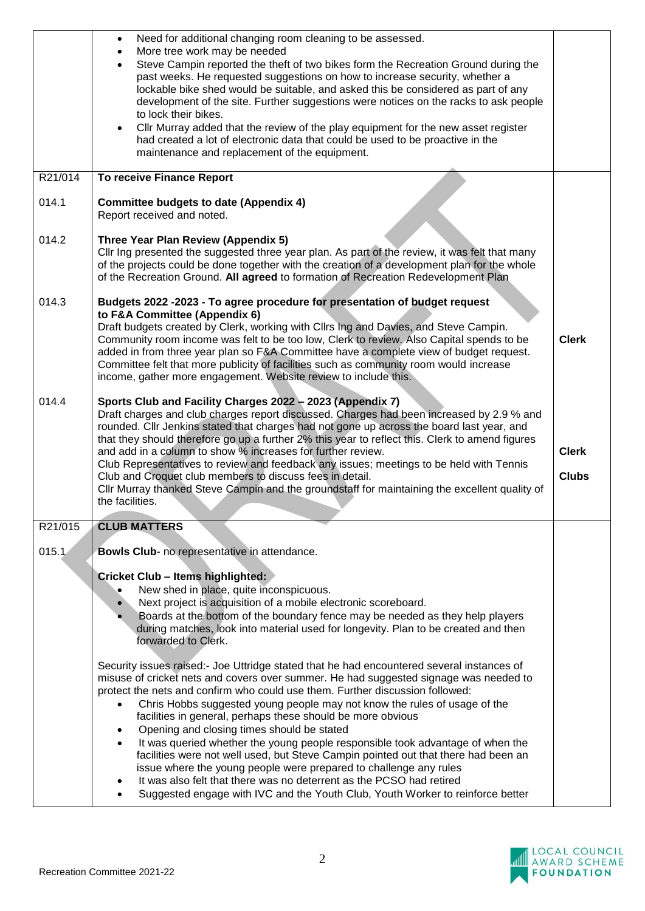|         | Need for additional changing room cleaning to be assessed.<br>$\bullet$<br>More tree work may be needed<br>$\bullet$<br>Steve Campin reported the theft of two bikes form the Recreation Ground during the<br>$\bullet$<br>past weeks. He requested suggestions on how to increase security, whether a<br>lockable bike shed would be suitable, and asked this be considered as part of any<br>development of the site. Further suggestions were notices on the racks to ask people<br>to lock their bikes.<br>Cllr Murray added that the review of the play equipment for the new asset register<br>$\bullet$<br>had created a lot of electronic data that could be used to be proactive in the<br>maintenance and replacement of the equipment. |                              |
|---------|---------------------------------------------------------------------------------------------------------------------------------------------------------------------------------------------------------------------------------------------------------------------------------------------------------------------------------------------------------------------------------------------------------------------------------------------------------------------------------------------------------------------------------------------------------------------------------------------------------------------------------------------------------------------------------------------------------------------------------------------------|------------------------------|
| R21/014 | To receive Finance Report                                                                                                                                                                                                                                                                                                                                                                                                                                                                                                                                                                                                                                                                                                                         |                              |
| 014.1   | <b>Committee budgets to date (Appendix 4)</b><br>Report received and noted.                                                                                                                                                                                                                                                                                                                                                                                                                                                                                                                                                                                                                                                                       |                              |
| 014.2   | Three Year Plan Review (Appendix 5)<br>Cllr Ing presented the suggested three year plan. As part of the review, it was felt that many<br>of the projects could be done together with the creation of a development plan for the whole<br>of the Recreation Ground. All agreed to formation of Recreation Redevelopment Plan                                                                                                                                                                                                                                                                                                                                                                                                                       |                              |
| 014.3   | Budgets 2022 -2023 - To agree procedure for presentation of budget request<br>to F&A Committee (Appendix 6)<br>Draft budgets created by Clerk, working with Cllrs Ing and Davies, and Steve Campin.<br>Community room income was felt to be too low, Clerk to review. Also Capital spends to be<br>added in from three year plan so F&A Committee have a complete view of budget request.<br>Committee felt that more publicity of facilities such as community room would increase<br>income, gather more engagement. Website review to include this.                                                                                                                                                                                            | <b>Clerk</b>                 |
| 014.4   | Sports Club and Facility Charges 2022 - 2023 (Appendix 7)<br>Draft charges and club charges report discussed. Charges had been increased by 2.9 % and<br>rounded. Cllr Jenkins stated that charges had not gone up across the board last year, and<br>that they should therefore go up a further 2% this year to reflect this. Clerk to amend figures<br>and add in a column to show % increases for further review.<br>Club Representatives to review and feedback any issues; meetings to be held with Tennis<br>Club and Croquet club members to discuss fees in detail.<br>Cllr Murray thanked Steve Campin and the groundstaff for maintaining the excellent quality of<br>the facilities.                                                   | <b>Clerk</b><br><b>Clubs</b> |
| R21/015 | <b>CLUB MATTERS</b>                                                                                                                                                                                                                                                                                                                                                                                                                                                                                                                                                                                                                                                                                                                               |                              |
| 015.1   | Bowls Club- no representative in attendance.                                                                                                                                                                                                                                                                                                                                                                                                                                                                                                                                                                                                                                                                                                      |                              |
|         | <b>Cricket Club - Items highlighted:</b><br>New shed in place, quite inconspicuous.<br>Next project is acquisition of a mobile electronic scoreboard.<br>Boards at the bottom of the boundary fence may be needed as they help players<br>during matches, look into material used for longevity. Plan to be created and then<br>forwarded to Clerk.                                                                                                                                                                                                                                                                                                                                                                                               |                              |
|         | Security issues raised:- Joe Uttridge stated that he had encountered several instances of<br>misuse of cricket nets and covers over summer. He had suggested signage was needed to<br>protect the nets and confirm who could use them. Further discussion followed:<br>Chris Hobbs suggested young people may not know the rules of usage of the<br>facilities in general, perhaps these should be more obvious<br>Opening and closing times should be stated<br>٠<br>It was queried whether the young people responsible took advantage of when the<br>facilities were not well used, but Steve Campin pointed out that there had been an                                                                                                        |                              |
|         | issue where the young people were prepared to challenge any rules<br>It was also felt that there was no deterrent as the PCSO had retired<br>Suggested engage with IVC and the Youth Club, Youth Worker to reinforce better                                                                                                                                                                                                                                                                                                                                                                                                                                                                                                                       |                              |

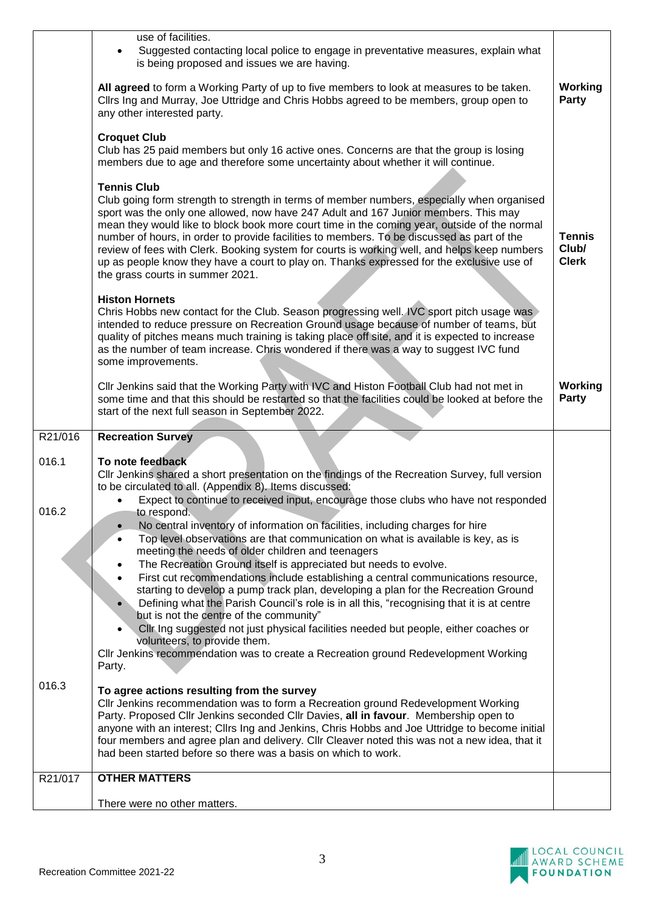|         | use of facilities.<br>Suggested contacting local police to engage in preventative measures, explain what<br>is being proposed and issues we are having.<br>All agreed to form a Working Party of up to five members to look at measures to be taken.<br>Cllrs Ing and Murray, Joe Uttridge and Chris Hobbs agreed to be members, group open to                                                                                                                                                                                                                                                                   | <b>Working</b><br>Party                |
|---------|------------------------------------------------------------------------------------------------------------------------------------------------------------------------------------------------------------------------------------------------------------------------------------------------------------------------------------------------------------------------------------------------------------------------------------------------------------------------------------------------------------------------------------------------------------------------------------------------------------------|----------------------------------------|
|         | any other interested party.<br><b>Croquet Club</b><br>Club has 25 paid members but only 16 active ones. Concerns are that the group is losing                                                                                                                                                                                                                                                                                                                                                                                                                                                                    |                                        |
|         | members due to age and therefore some uncertainty about whether it will continue.<br><b>Tennis Club</b>                                                                                                                                                                                                                                                                                                                                                                                                                                                                                                          |                                        |
|         | Club going form strength to strength in terms of member numbers, especially when organised<br>sport was the only one allowed, now have 247 Adult and 167 Junior members. This may<br>mean they would like to block book more court time in the coming year, outside of the normal<br>number of hours, in order to provide facilities to members. To be discussed as part of the<br>review of fees with Clerk. Booking system for courts is working well, and helps keep numbers<br>up as people know they have a court to play on. Thanks expressed for the exclusive use of<br>the grass courts in summer 2021. | <b>Tennis</b><br>Club/<br><b>Clerk</b> |
|         | <b>Histon Hornets</b><br>Chris Hobbs new contact for the Club. Season progressing well. IVC sport pitch usage was<br>intended to reduce pressure on Recreation Ground usage because of number of teams, but<br>quality of pitches means much training is taking place off site, and it is expected to increase<br>as the number of team increase. Chris wondered if there was a way to suggest IVC fund<br>some improvements.                                                                                                                                                                                    |                                        |
|         | CIIr Jenkins said that the Working Party with IVC and Histon Football Club had not met in<br>some time and that this should be restarted so that the facilities could be looked at before the<br>start of the next full season in September 2022.                                                                                                                                                                                                                                                                                                                                                                | <b>Working</b><br><b>Party</b>         |
|         |                                                                                                                                                                                                                                                                                                                                                                                                                                                                                                                                                                                                                  |                                        |
| R21/016 | <b>Recreation Survey</b>                                                                                                                                                                                                                                                                                                                                                                                                                                                                                                                                                                                         |                                        |
| 016.1   | To note feedback<br>CIIr Jenkins shared a short presentation on the findings of the Recreation Survey, full version<br>to be circulated to all. (Appendix 8). Items discussed:                                                                                                                                                                                                                                                                                                                                                                                                                                   |                                        |
| 016.2   | Expect to continue to received input, encourage those clubs who have not responded<br>to respond.<br>No central inventory of information on facilities, including charges for hire<br>$\bullet$                                                                                                                                                                                                                                                                                                                                                                                                                  |                                        |
|         | Top level observations are that communication on what is available is key, as is                                                                                                                                                                                                                                                                                                                                                                                                                                                                                                                                 |                                        |
|         | meeting the needs of older children and teenagers<br>The Recreation Ground itself is appreciated but needs to evolve.                                                                                                                                                                                                                                                                                                                                                                                                                                                                                            |                                        |
|         | First cut recommendations include establishing a central communications resource,<br>starting to develop a pump track plan, developing a plan for the Recreation Ground<br>Defining what the Parish Council's role is in all this, "recognising that it is at centre<br>but is not the centre of the community"                                                                                                                                                                                                                                                                                                  |                                        |
|         | Cllr Ing suggested not just physical facilities needed but people, either coaches or                                                                                                                                                                                                                                                                                                                                                                                                                                                                                                                             |                                        |
|         | volunteers, to provide them.<br>CIIr Jenkins recommendation was to create a Recreation ground Redevelopment Working<br>Party.                                                                                                                                                                                                                                                                                                                                                                                                                                                                                    |                                        |
| 016.3   | To agree actions resulting from the survey<br>Cllr Jenkins recommendation was to form a Recreation ground Redevelopment Working<br>Party. Proposed Cllr Jenkins seconded Cllr Davies, all in favour. Membership open to<br>anyone with an interest; ClIrs Ing and Jenkins, Chris Hobbs and Joe Uttridge to become initial<br>four members and agree plan and delivery. Cllr Cleaver noted this was not a new idea, that it<br>had been started before so there was a basis on which to work.                                                                                                                     |                                        |
| R21/017 | <b>OTHER MATTERS</b>                                                                                                                                                                                                                                                                                                                                                                                                                                                                                                                                                                                             |                                        |